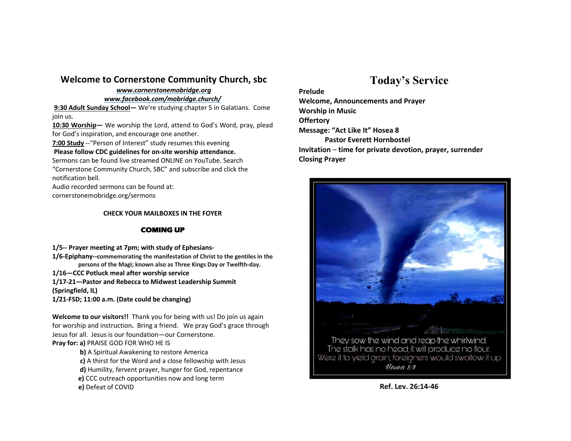### **Welcome to Cornerstone Community Church, sbc**

#### *www.cornerstonemobridge.org*

#### *www.facebook.com/mobridge.church/*

**9:30 Adult Sunday School—** We're studying chapter 5 in Galatians. Come join us.

**10:30 Worship—** We worship the Lord, attend to God's Word, pray, plead for God's inspiration, and encourage one another.

**7:00 Study** --"Person of Interest" study resumes this evening

#### **Please follow CDC guidelines for on-site worship attendance.**

Sermons can be found live streamed ONLINE on YouTube. Search "Cornerstone Community Church, SBC" and subscribe and click the notification bell.

Audio recorded sermons can be found at:

cornerstonemobridge.org/sermons

#### **CHECK YOUR MAILBOXES IN THE FOYER**

#### **COMING UP**

- **1/5-- Prayer meeting at 7pm; with study of Ephesians-**
- **1/6-Epiphany--commemorating the manifestation of Christ to the gentiles in the persons of the Magi; known also as Three Kings Day or Twelfth-day.**
- **1/16—CCC Potluck meal after worship service**

**1/17-21—Pastor and Rebecca to Midwest Leadership Summit (Springfield, IL)**

**1/21-FSD; 11:00 a.m. (Date could be changing)**

**Welcome to our visitors!!** Thank you for being with us! Do join us again for worship and instruction**.** Bring a friend. We pray God's grace through Jesus for all. Jesus is our foundation—our Cornerstone. **Pray for: a)** PRAISE GOD FOR WHO HE IS

- **b)** A Spiritual Awakening to restore America
- **c)** A thirst for the Word and a close fellowship with Jesus
- **d)** Humility, fervent prayer, hunger for God, repentance
- **e)** CCC outreach opportunities now and long term

**e)** Defeat of COVID

# **Today's Service**

**Prelude Welcome, Announcements and Prayer Worship in Music Offertory Message: "Act Like It" Hosea 8 Pastor Everett Hornbostel Invitation** – **time for private devotion, prayer, surrender Closing Prayer**



**Ref. Lev. 26:14-46**